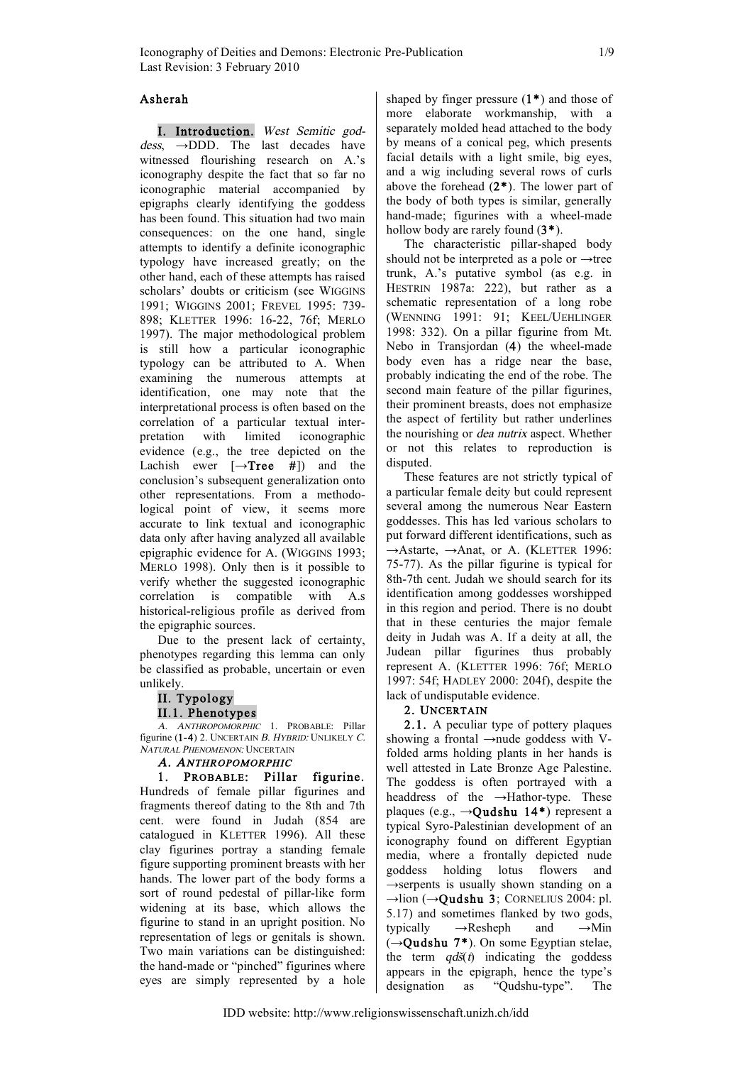### Asherah

I. Introduction. West Semitic god $dess$ ,  $\rightarrow$ DDD. The last decades have witnessed flourishing research on A.'s iconography despite the fact that so far no iconographic material accompanied by epigraphs clearly identifying the goddess has been found. This situation had two main consequences: on the one hand, single attempts to identify a definite iconographic typology have increased greatly; on the other hand, each of these attempts has raised scholars' doubts or criticism (see WIGGINS 1991; WIGGINS 2001; FREVEL 1995: 739- 898; KLETTER 1996: 16-22, 76f; MERLO 1997). The major methodological problem is still how a particular iconographic typology can be attributed to A. When examining the numerous attempts at identification, one may note that the interpretational process is often based on the correlation of a particular textual interpretation with limited iconographic evidence (e.g., the tree depicted on the Lachish ewer  $[\rightarrow \text{Tree } #]$  and the conclusion's subsequent generalization onto other representations. From a methodological point of view, it seems more accurate to link textual and iconographic data only after having analyzed all available epigraphic evidence for A. (WIGGINS 1993; MERLO 1998). Only then is it possible to verify whether the suggested iconographic correlation is compatible with A.s historical-religious profile as derived from the epigraphic sources.

Due to the present lack of certainty, phenotypes regarding this lemma can only be classified as probable, uncertain or even unlikely.

# II. Typology

## II.1. Phenotypes

A. ANTHROPOMORPHIC 1. PROBABLE: Pillar figurine (1-4) 2. UNCERTAIN B. HYBRID: UNLIKELY C. NATURAL PHENOMENON: UNCERTAIN

### A. ANTHROPOMORPHIC

1. PROBABLE: Pillar figurine. Hundreds of female pillar figurines and fragments thereof dating to the 8th and 7th cent. were found in Judah (854 are catalogued in KLETTER 1996). All these clay figurines portray a standing female figure supporting prominent breasts with her hands. The lower part of the body forms a sort of round pedestal of pillar-like form widening at its base, which allows the figurine to stand in an upright position. No representation of legs or genitals is shown. Two main variations can be distinguished: the hand-made or "pinched" figurines where eyes are simply represented by a hole

shaped by finger pressure  $(1^*)$  and those of more elaborate workmanship, with a separately molded head attached to the body by means of a conical peg, which presents facial details with a light smile, big eyes, and a wig including several rows of curls above the forehead  $(2^*)$ . The lower part of the body of both types is similar, generally hand-made; figurines with a wheel-made hollow body are rarely found  $(3^*)$ .

The characteristic pillar-shaped body should not be interpreted as a pole or  $\rightarrow$ tree trunk, A.'s putative symbol (as e.g. in HESTRIN 1987a: 222), but rather as a schematic representation of a long robe (WENNING 1991: 91; KEEL/UEHLINGER 1998: 332). On a pillar figurine from Mt. Nebo in Transjordan (4) the wheel-made body even has a ridge near the base, probably indicating the end of the robe. The second main feature of the pillar figurines, their prominent breasts, does not emphasize the aspect of fertility but rather underlines the nourishing or dea nutrix aspect. Whether or not this relates to reproduction is disputed.

These features are not strictly typical of a particular female deity but could represent several among the numerous Near Eastern goddesses. This has led various scholars to put forward different identifications, such as  $\rightarrow$ Astarte,  $\rightarrow$ Anat, or A. (KLETTER 1996: 75-77). As the pillar figurine is typical for 8th-7th cent. Judah we should search for its identification among goddesses worshipped in this region and period. There is no doubt that in these centuries the major female deity in Judah was A. If a deity at all, the Judean pillar figurines thus probably represent A. (KLETTER 1996: 76f; MERLO 1997: 54f; HADLEY 2000: 204f), despite the lack of undisputable evidence.

### 2. UNCERTAIN

2.1. A peculiar type of pottery plaques showing a frontal →nude goddess with Vfolded arms holding plants in her hands is well attested in Late Bronze Age Palestine. The goddess is often portrayed with a headdress of the  $\rightarrow$ Hathor-type. These plaques (e.g.,  $\rightarrow$ Qudshu 14<sup>\*</sup>) represent a typical Syro-Palestinian development of an iconography found on different Egyptian media, where a frontally depicted nude goddess holding lotus flowers and  $\rightarrow$ serpents is usually shown standing on a  $\rightarrow$ lion ( $\rightarrow$ Qudshu 3; CORNELIUS 2004: pl. 5.17) and sometimes flanked by two gods, typically  $\rightarrow$ Resheph and  $\rightarrow$ Min  $(\rightarrow Qudshu 7^*)$ . On some Egyptian stelae, the term  $q d\breve{s}(t)$  indicating the goddess appears in the epigraph, hence the type's designation as "Qudshu-type". The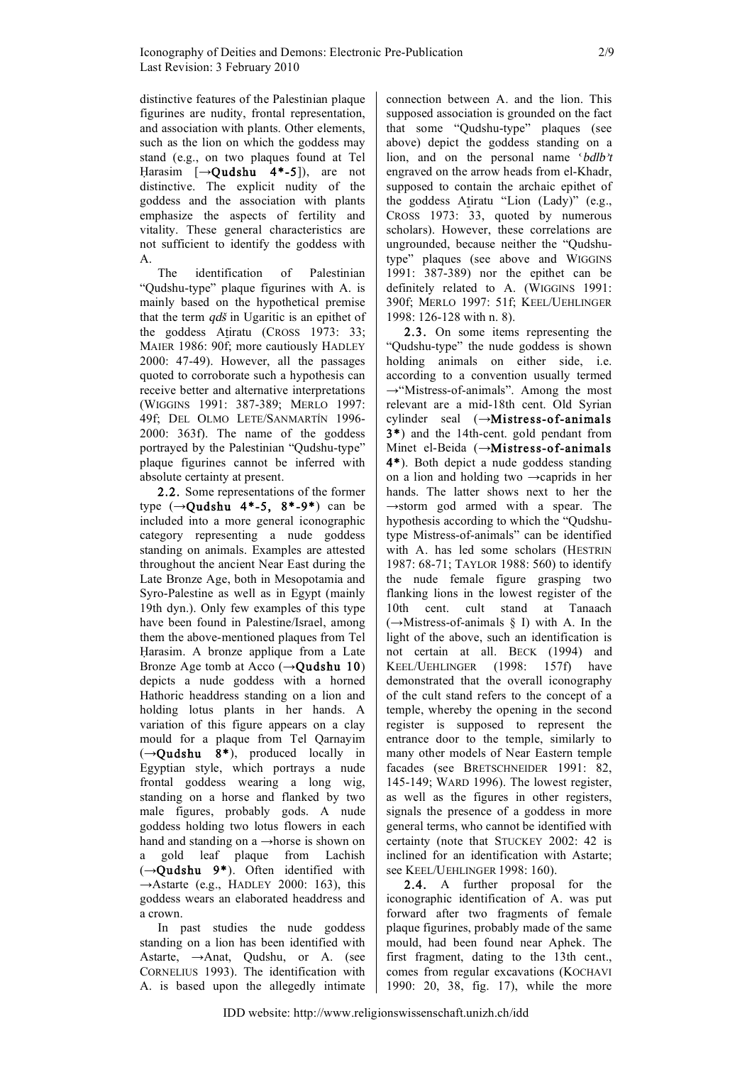distinctive features of the Palestinian plaque figurines are nudity, frontal representation, and association with plants. Other elements, such as the lion on which the goddess may stand (e.g., on two plaques found at Tel Ḥarasim [→Qudshu 4\*-5]), are not distinctive. The explicit nudity of the goddess and the association with plants emphasize the aspects of fertility and vitality. These general characteristics are not sufficient to identify the goddess with A.

The identification of Palestinian "Qudshu-type" plaque figurines with A. is mainly based on the hypothetical premise that the term qd<sup>š</sup> in Ugaritic is an epithet of the goddess Atiratu (CROSS 1973: 33; MAIER 1986: 90f; more cautiously HADLEY 2000: 47-49). However, all the passages quoted to corroborate such a hypothesis can receive better and alternative interpretations (WIGGINS 1991: 387-389; MERLO 1997: 49f; DEL OLMO LETE/SANMARTÍN 1996- 2000: 363f). The name of the goddess portrayed by the Palestinian "Qudshu-type" plaque figurines cannot be inferred with absolute certainty at present.

2.2. Some representations of the former type  $(\rightarrow Qudshu$  4\*-5, 8\*-9\*) can be included into a more general iconographic category representing a nude goddess standing on animals. Examples are attested throughout the ancient Near East during the Late Bronze Age, both in Mesopotamia and Syro-Palestine as well as in Egypt (mainly 19th dyn.). Only few examples of this type have been found in Palestine/Israel, among them the above-mentioned plaques from Tel Ḥarasim. A bronze applique from a Late Bronze Age tomb at Acco  $(\rightarrow$ Qudshu 10) depicts a nude goddess with a horned Hathoric headdress standing on a lion and holding lotus plants in her hands. A variation of this figure appears on a clay mould for a plaque from Tel Qarnayim (→Qudshu 8\*), produced locally in Egyptian style, which portrays a nude frontal goddess wearing a long wig, standing on a horse and flanked by two male figures, probably gods. A nude goddess holding two lotus flowers in each hand and standing on a →horse is shown on a gold leaf plaque from Lachish  $(\rightarrow$ Qudshu 9<sup>\*</sup>). Often identified with  $\rightarrow$ Astarte (e.g., HADLEY 2000: 163), this goddess wears an elaborated headdress and a crown.

In past studies the nude goddess standing on a lion has been identified with Astarte,  $\rightarrow$ Anat, Qudshu, or A. (see CORNELIUS 1993). The identification with A. is based upon the allegedly intimate connection between A. and the lion. This supposed association is grounded on the fact that some "Qudshu-type" plaques (see above) depict the goddess standing on a lion, and on the personal name  $\delta$ bdlb<sup>2</sup>t engraved on the arrow heads from el-Khadr, supposed to contain the archaic epithet of the goddess Atiratu "Lion (Lady)" (e.g., CROSS 1973: 33, quoted by numerous scholars). However, these correlations are ungrounded, because neither the "Qudshutype" plaques (see above and WIGGINS 1991: 387-389) nor the epithet can be definitely related to A. (WIGGINS 1991: 390f; MERLO 1997: 51f; KEEL/UEHLINGER 1998: 126-128 with n. 8).

2.3. On some items representing the "Qudshu-type" the nude goddess is shown holding animals on either side, i.e. according to a convention usually termed →"Mistress-of-animals". Among the most relevant are a mid-18th cent. Old Syrian cylinder seal  $(\rightarrow$ Mistress-of-animals 3\*) and the 14th-cent. gold pendant from Minet el-Beida (→Mistress-of-animals 4\*). Both depict a nude goddess standing on a lion and holding two →caprids in her hands. The latter shows next to her the  $\rightarrow$ storm god armed with a spear. The hypothesis according to which the "Qudshutype Mistress-of-animals" can be identified with A. has led some scholars (HESTRIN 1987: 68-71; TAYLOR 1988: 560) to identify the nude female figure grasping two flanking lions in the lowest register of the 10th cent. cult stand at Tanaach  $(\rightarrow$ Mistress-of-animals § I) with A. In the light of the above, such an identification is not certain at all. BECK (1994) and KEEL/UEHLINGER (1998: 157f) have demonstrated that the overall iconography of the cult stand refers to the concept of a temple, whereby the opening in the second register is supposed to represent the entrance door to the temple, similarly to many other models of Near Eastern temple facades (see BRETSCHNEIDER 1991: 82, 145-149; WARD 1996). The lowest register, as well as the figures in other registers, signals the presence of a goddess in more general terms, who cannot be identified with certainty (note that STUCKEY 2002: 42 is inclined for an identification with Astarte; see KEEL/UEHLINGER 1998: 160).

2.4. A further proposal for the iconographic identification of A. was put forward after two fragments of female plaque figurines, probably made of the same mould, had been found near Aphek. The first fragment, dating to the 13th cent., comes from regular excavations (KOCHAVI 1990: 20, 38, fig. 17), while the more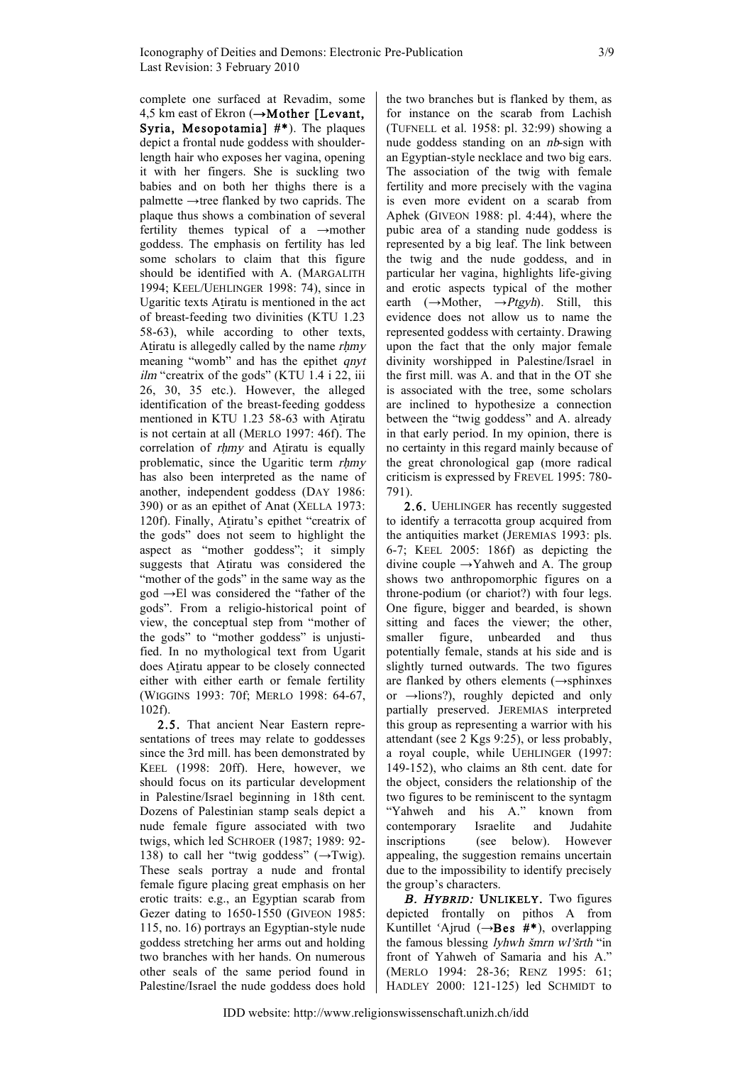complete one surfaced at Revadim, some 4,5 km east of Ekron  $\rightarrow$ **Mother [Levant,** Syria, Mesopotamia]  $#*)$ . The plaques depict a frontal nude goddess with shoulderlength hair who exposes her vagina, opening it with her fingers. She is suckling two babies and on both her thighs there is a palmette →tree flanked by two caprids. The plaque thus shows a combination of several fertility themes typical of a  $\rightarrow$ mother goddess. The emphasis on fertility has led some scholars to claim that this figure should be identified with A. (MARGALITH 1994; KEEL/UEHLINGER 1998: 74), since in Ugaritic texts Atiratu is mentioned in the act of breast-feeding two divinities (KTU 1.23 58-63), while according to other texts, Atiratu is allegedly called by the name <sup>r</sup>ḥmy meaning "womb" and has the epithet *qnyt* ilm "creatrix of the gods" (KTU 1.4 i 22, iii 26, 30, 35 etc.). However, the alleged identification of the breast-feeding goddess mentioned in KTU 1.23 58-63 with Atiratu is not certain at all (MERLO 1997: 46f). The correlation of rhmy and Atiratu is equally problematic, since the Ugaritic term rhmy has also been interpreted as the name of another, independent goddess (DAY 1986: 390) or as an epithet of Anat (XELLA 1973: 120f). Finally, Atiratu's epithet "creatrix of the gods" does not seem to highlight the aspect as "mother goddess"; it simply suggests that Atiratu was considered the "mother of the gods" in the same way as the god →El was considered the "father of the gods". From a religio-historical point of view, the conceptual step from "mother of the gods" to "mother goddess" is unjustified. In no mythological text from Ugarit does Atiratu appear to be closely connected either with either earth or female fertility (WIGGINS 1993: 70f; MERLO 1998: 64-67, 102f).

2.5. That ancient Near Eastern representations of trees may relate to goddesses since the 3rd mill. has been demonstrated by KEEL (1998: 20ff). Here, however, we should focus on its particular development in Palestine/Israel beginning in 18th cent. Dozens of Palestinian stamp seals depict a nude female figure associated with two twigs, which led SCHROER (1987; 1989: 92- 138) to call her "twig goddess"  $(\rightarrow$ Twig). These seals portray a nude and frontal female figure placing great emphasis on her erotic traits: e.g., an Egyptian scarab from Gezer dating to 1650-1550 (GIVEON 1985: 115, no. 16) portrays an Egyptian-style nude goddess stretching her arms out and holding two branches with her hands. On numerous other seals of the same period found in Palestine/Israel the nude goddess does hold

the two branches but is flanked by them, as for instance on the scarab from Lachish (TUFNELL et al. 1958: pl. 32:99) showing a nude goddess standing on an nb-sign with an Egyptian-style necklace and two big ears. The association of the twig with female fertility and more precisely with the vagina is even more evident on a scarab from Aphek (GIVEON 1988: pl. 4:44), where the pubic area of a standing nude goddess is represented by a big leaf. The link between the twig and the nude goddess, and in particular her vagina, highlights life-giving and erotic aspects typical of the mother earth  $(\rightarrow \text{Mother}, \rightarrow \text{Ptgyh})$ . Still, this evidence does not allow us to name the represented goddess with certainty. Drawing upon the fact that the only major female divinity worshipped in Palestine/Israel in the first mill. was A. and that in the OT she is associated with the tree, some scholars are inclined to hypothesize a connection between the "twig goddess" and A. already in that early period. In my opinion, there is no certainty in this regard mainly because of the great chronological gap (more radical criticism is expressed by FREVEL 1995: 780- 791).

2.6. UEHLINGER has recently suggested to identify a terracotta group acquired from the antiquities market (JEREMIAS 1993: pls. 6-7; KEEL 2005: 186f) as depicting the divine couple  $\rightarrow$ Yahweh and A. The group shows two anthropomorphic figures on a throne-podium (or chariot?) with four legs. One figure, bigger and bearded, is shown sitting and faces the viewer; the other, smaller figure, unbearded and thus potentially female, stands at his side and is slightly turned outwards. The two figures are flanked by others elements  $(\rightarrow sphinxes)$ or  $\rightarrow$ lions?), roughly depicted and only partially preserved. JEREMIAS interpreted this group as representing a warrior with his attendant (see 2 Kgs 9:25), or less probably, a royal couple, while UEHLINGER (1997: 149-152), who claims an 8th cent. date for the object, considers the relationship of the two figures to be reminiscent to the syntagm "Yahweh and his A." known from contemporary Israelite and Judahite inscriptions (see below). However appealing, the suggestion remains uncertain due to the impossibility to identify precisely the group's characters.

**B. HYBRID: UNLIKELY.** Two figures depicted frontally on pithos A from Kuntillet  $\Delta$ jrud ( $\rightarrow$ Bes #\*), overlapping the famous blessing *lyhwh šmrn wPšrth* "in front of Yahweh of Samaria and his A." (MERLO 1994: 28-36; RENZ 1995: 61; HADLEY 2000: 121-125) led SCHMIDT to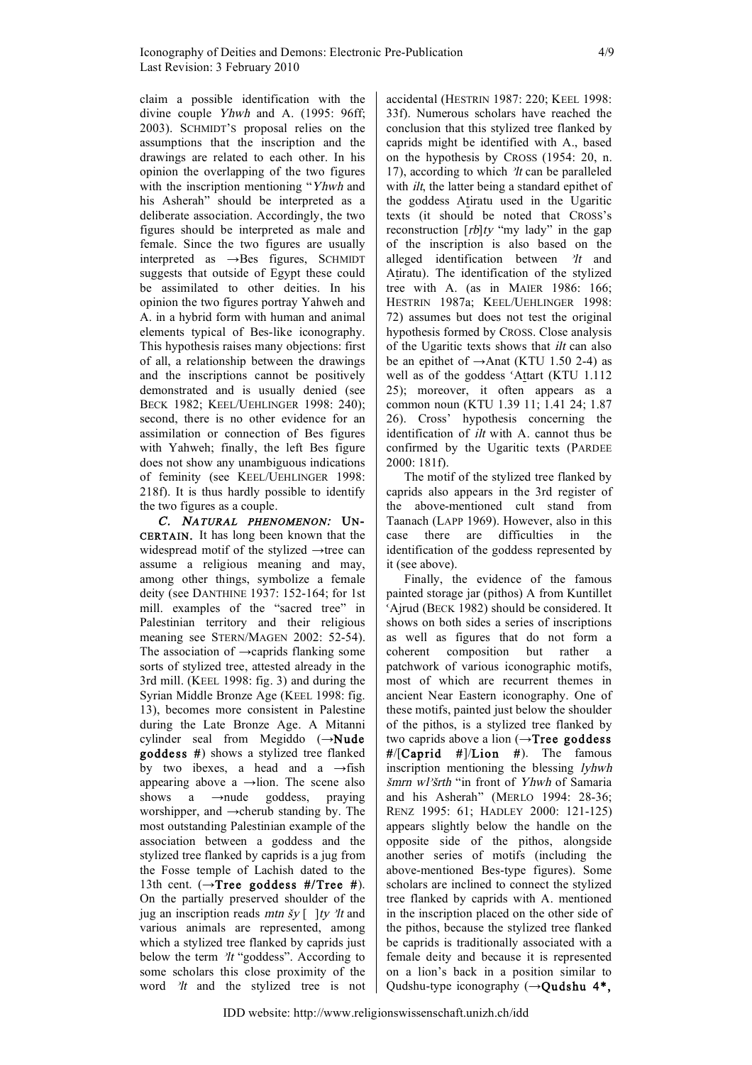claim a possible identification with the divine couple Yhwh and A. (1995: 96ff; 2003). SCHMIDT'S proposal relies on the assumptions that the inscription and the drawings are related to each other. In his opinion the overlapping of the two figures with the inscription mentioning "Yhwh and his Asherah" should be interpreted as a deliberate association. Accordingly, the two figures should be interpreted as male and female. Since the two figures are usually interpreted as  $\rightarrow$ Bes figures, SCHMIDT suggests that outside of Egypt these could be assimilated to other deities. In his opinion the two figures portray Yahweh and A. in a hybrid form with human and animal elements typical of Bes-like iconography. This hypothesis raises many objections: first of all, a relationship between the drawings and the inscriptions cannot be positively demonstrated and is usually denied (see BECK 1982; KEEL/UEHLINGER 1998: 240); second, there is no other evidence for an assimilation or connection of Bes figures with Yahweh; finally, the left Bes figure does not show any unambiguous indications of feminity (see KEEL/UEHLINGER 1998: 218f). It is thus hardly possible to identify the two figures as a couple.

C. NATURAL PHENOMENON: UN-CERTAIN. It has long been known that the widespread motif of the stylized →tree can assume a religious meaning and may, among other things, symbolize a female deity (see DANTHINE 1937: 152-164; for 1st mill. examples of the "sacred tree" in Palestinian territory and their religious meaning see STERN/MAGEN 2002: 52-54). The association of  $\rightarrow$ caprids flanking some sorts of stylized tree, attested already in the 3rd mill. (KEEL 1998: fig. 3) and during the Syrian Middle Bronze Age (KEEL 1998: fig. 13), becomes more consistent in Palestine during the Late Bronze Age. A Mitanni cylinder seal from Megiddo (→Nude godde ss #) shows a stylized tree flanked by two ibexes, a head and a  $\rightarrow$ fish appearing above a  $\rightarrow$ lion. The scene also shows a →nude goddess, praying worshipper, and →cherub standing by. The most outstanding Palestinian example of the association between a goddess and the stylized tree flanked by caprids is a jug from the Fosse temple of Lachish dated to the 13th cent. ( $\rightarrow$ Tree goddess #/Tree #). On the partially preserved shoulder of the jug an inscription reads *mtn šy*  $\lceil \frac{1}{y} \rceil$  *ty*  $\lceil \frac{1}{y} \rceil$  and various animals are represented, among which a stylized tree flanked by caprids just below the term  $\mathcal{U}t$  "goddess". According to some scholars this close proximity of the word  $\n *l*$  and the stylized tree is not accidental (HESTRIN 1987: 220; KEEL 1998: 33f). Numerous scholars have reached the conclusion that this stylized tree flanked by caprids might be identified with A., based on the hypothesis by CROSS (1954: 20, n. 17), according to which  $\frac{\partial f}{\partial t}$  can be paralleled with *ilt*, the latter being a standard epithet of the goddess Atiratu used in the Ugaritic texts (it should be noted that CROSS's reconstruction  $[rb]$ ty "my lady" in the gap of the inscription is also based on the alleged identification between  $\partial t$  and Atiratu). The identification of the stylized tree with A. (as in MAIER 1986: 166; HESTRIN 1987a; KEEL/UEHLINGER 1998: 72) assumes but does not test the original hypothesis formed by CROSS. Close analysis of the Ugaritic texts shows that ilt can also be an epithet of  $\rightarrow$ Anat (KTU 1.50 2-4) as well as of the goddess 'Attart (KTU 1.112) 25); moreover, it often appears as a common noun (KTU 1.39 11; 1.41 24; 1.87 26). Cross' hypothesis concerning the identification of ilt with A. cannot thus be confirmed by the Ugaritic texts (PARDEE 2000: 181f).

The motif of the stylized tree flanked by caprids also appears in the 3rd register of the above-mentioned cult stand from Taanach (LAPP 1969). However, also in this case there are difficulties in the identification of the goddess represented by it (see above).

Finally, the evidence of the famous painted storage jar (pithos) A from Kuntillet 'Ajrud (BECK 1982) should be considered. It shows on both sides a series of inscriptions as well as figures that do not form a coherent composition but rather a patchwork of various iconographic motifs, most of which are recurrent themes in ancient Near Eastern iconography. One of these motifs, painted just below the shoulder of the pithos, is a stylized tree flanked by two caprids above a lion  $(\rightarrow$ Tree goddess  $\#$ /[Caprid #]/Lion #). The famous inscription mentioning the blessing lyhwh šmrn wPšrth "in front of Yhwh of Samaria and his Asherah" (MERLO 1994: 28-36; RENZ 1995: 61; HADLEY 2000: 121-125) appears slightly below the handle on the opposite side of the pithos, alongside another series of motifs (including the above-mentioned Bes-type figures). Some scholars are inclined to connect the stylized tree flanked by caprids with A. mentioned in the inscription placed on the other side of the pithos, because the stylized tree flanked be caprids is traditionally associated with a female deity and because it is represented on a lion's back in a position similar to Qudshu-type iconography  $(\rightarrow$ Qudshu 4<sup>\*</sup>,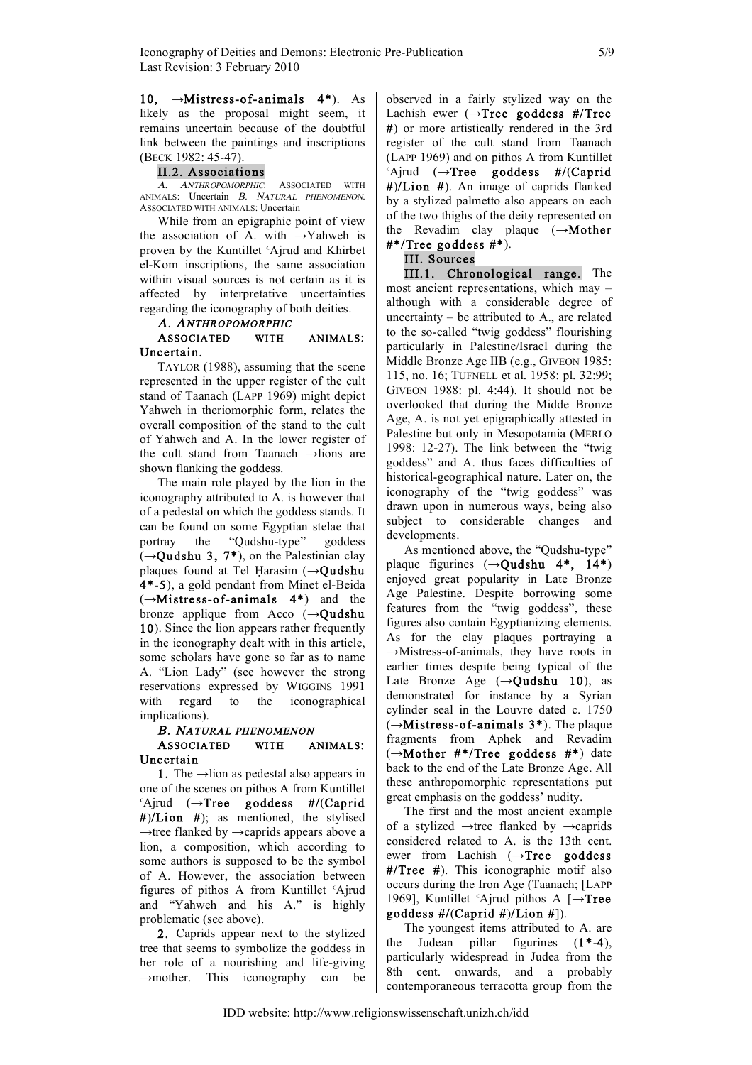10,  $\rightarrow$ Mistress-of-animals 4\*). As likely as the proposal might seem, it remains uncertain because of the doubtful link between the paintings and inscriptions (BECK 1982: 45-47).

### II.2. Associations

A. ANTHROPOMORPHIC. ASSOCIATED WITH ANIMALS: Uncertain B. NATURAL PHENOMENON. ASSOCIATED WITH ANIMALS: Uncertain

While from an epigraphic point of view the association of A. with  $\rightarrow$ Yahweh is proven by the Kuntillet 'Ajrud and Khirbet el-Kom inscriptions, the same association within visual sources is not certain as it is affected by interpretative uncertainties regarding the iconography of both deities.

#### A. ANTHROPOMORPHIC

### ASSOCIATED WITH ANIMALS: Uncertain.

TAYLOR (1988), assuming that the scene represented in the upper register of the cult stand of Taanach (LAPP 1969) might depict Yahweh in theriomorphic form, relates the overall composition of the stand to the cult of Yahweh and A. In the lower register of the cult stand from Taanach →lions are shown flanking the goddess.

The main role played by the lion in the iconography attributed to A. is however that of a pedestal on which the goddess stands. It can be found on some Egyptian stelae that portray the "Qudshu-type" goddess  $(\rightarrow$ Qudshu 3, 7<sup>\*</sup>), on the Palestinian clay plaques found at Tel Ḥarasim  $(\rightarrow$ Qudshu 4\*-5), a gold pendant from Minet el-Beida  $(\rightarrow$ Mistress-of-animals 4\*) and the bronze applique from Acco  $(\rightarrow$ Qudshu 10). Since the lion appears rather frequently in the iconography dealt with in this article, some scholars have gone so far as to name A. "Lion Lady" (see however the strong reservations expressed by WIGGINS 1991 with regard to the iconographical implications).

### B. NATURAL PHENOMENON ASSOCIATED WITH ANIMALS: Uncertain

1. The  $\rightarrow$ lion as pedestal also appears in one of the scenes on pithos A from Kuntillet 'Ajrud  $(\rightarrow$ Tree goddess #/(Caprid  $#)/$ Lion  $#$ ); as mentioned, the stylised →tree flanked by →caprids appears above a lion, a composition, which according to some authors is supposed to be the symbol of A. However, the association between figures of pithos A from Kuntillet 'Ajrud and "Yahweh and his A." is highly problematic (see above).

2. Caprids appear next to the stylized tree that seems to symbolize the goddess in her role of a nourishing and life-giving →mother. This iconography can be

observed in a fairly stylized way on the Lachish ewer ( $\rightarrow$ Tree goddess #/Tree #) or more artistically rendered in the 3rd register of the cult stand from Taanach (LAPP 1969) and on pithos A from Kuntillet 'Ajrud  $(\rightarrow$ Tree goddess #/(Caprid #)/Lion #). An image of caprids flanked by a stylized palmetto also appears on each of the two thighs of the deity represented on the Revadim clay plaque  $(\rightarrow$ **Mother**  $\#*/$ Tree goddess  $\#*$ ).

## III. Sources

III.1. Chronological range. The most ancient representations, which may – although with a considerable degree of uncertainty – be attributed to A., are related to the so-called "twig goddess" flourishing particularly in Palestine/Israel during the Middle Bronze Age IIB (e.g., GIVEON 1985: 115, no. 16; TUFNELL et al. 1958: pl. 32:99; GIVEON 1988: pl. 4:44). It should not be overlooked that during the Midde Bronze Age, A. is not yet epigraphically attested in Palestine but only in Mesopotamia (MERLO 1998: 12-27). The link between the "twig goddess" and A. thus faces difficulties of historical-geographical nature. Later on, the iconography of the "twig goddess" was drawn upon in numerous ways, being also subject to considerable changes and developments.

As mentioned above, the "Qudshu-type" plaque figurines  $(\rightarrow Qudshu 4*, 14*)$ enjoyed great popularity in Late Bronze Age Palestine. Despite borrowing some features from the "twig goddess", these figures also contain Egyptianizing elements. As for the clay plaques portraying a →Mistress-of-animals, they have roots in earlier times despite being typical of the Late Bronze Age  $(\rightarrow$ Qudshu 10), as demonstrated for instance by a Syrian cylinder seal in the Louvre dated c. 1750  $(\rightarrow$ Mistress-of-animals 3<sup>\*</sup>). The plaque fragments from Aphek and Revadim  $(\rightarrow$ Mother #\*/Tree goddess #\*) date back to the end of the Late Bronze Age. All these anthropomorphic representations put great emphasis on the goddess' nudity.

The first and the most ancient example of a stylized →tree flanked by →caprids considered related to A. is the 13th cent. ewer from Lachish (→Tree goddess #/Tree #). This iconographic motif also occurs during the Iron Age (Taanach; [LAPP 1969], Kuntillet  $\Delta$ jrud pithos A [ $\rightarrow$ **Tree** goddess  $\#/(\text{Capital } \#)/\text{Lion } \#$ ]).

The youngest items attributed to A. are the Judean pillar figurines  $(1*-4)$ , particularly widespread in Judea from the 8th cent. onwards, and a probably contemporaneous terracotta group from the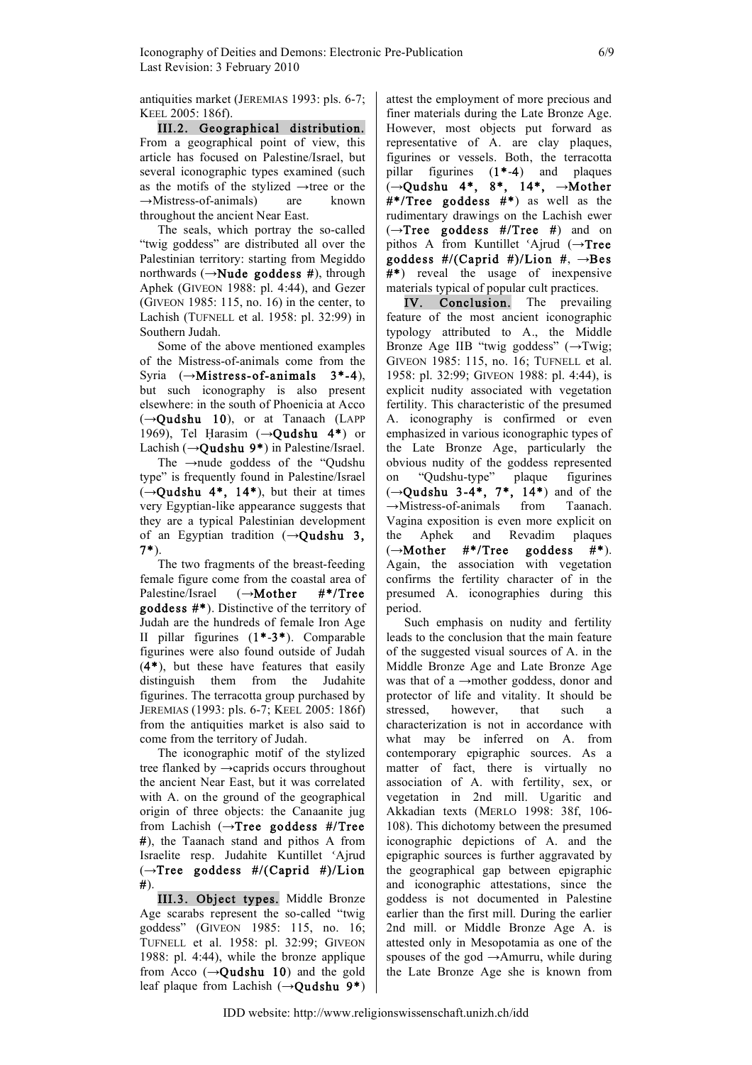antiquities market (JEREMIAS 1993: pls. 6-7; KEEL 2005: 186f).

III.2. Geographical distribution. From a geographical point of view, this article has focused on Palestine/Israel, but several iconographic types examined (such as the motifs of the stylized →tree or the →Mistress-of-animals) are known throughout the ancient Near East.

The seals, which portray the so-called "twig goddess" are distributed all over the Palestinian territory: starting from Megiddo northwards  $(\rightarrow$ **Nude goddess #**), through Aphek (GIVEON 1988: pl. 4:44), and Gezer (GIVEON 1985: 115, no. 16) in the center, to Lachish (TUFNELL et al. 1958: pl. 32:99) in Southern Judah.

Some of the above mentioned examples of the Mistress-of-animals come from the Syria  $(\rightarrow$ **Mistress-of-animals 3\*-4**), but such iconography is also present elsewhere: in the south of Phoenicia at Acco  $(\rightarrow$ Qudshu 10), or at Tanaach (LAPP 1969), Tel Ḥarasim ( $\rightarrow$ Qudshu 4\*) or Lachish  $(\rightarrow$ Qudshu 9<sup>\*</sup>) in Palestine/Israel.

The →nude goddess of the "Qudshu type" is frequently found in Palestine/Israel  $(\rightarrow$ Qudshu 4<sup>\*</sup>, 14<sup>\*</sup>), but their at times very Egyptian-like appearance suggests that they are a typical Palestinian development of an Egyptian tradition  $(\rightarrow$ Qudshu 3, 7\*).

The two fragments of the breast-feeding female figure come from the coastal area of Palestine/Israel (→Mother #\*/Tree goddess  $#*)$ . Distinctive of the territory of Judah are the hundreds of female Iron Age II pillar figurines (1\*-3\*). Comparable figurines were also found outside of Judah (4\*), but these have features that easily distinguish them from the Judahite figurines. The terracotta group purchased by JEREMIAS (1993: pls. 6-7; KEEL 2005: 186f) from the antiquities market is also said to come from the territory of Judah.

The iconographic motif of the stylized tree flanked by →caprids occurs throughout the ancient Near East, but it was correlated with A. on the ground of the geographical origin of three objects: the Canaanite jug from Lachish  $\rightarrow$ Tree goddess #/Tree #), the Taanach stand and pithos A from Israelite resp. Judahite Kuntillet ˓Ajrud  $(\rightarrow$ Tree goddess #/(Caprid #)/Lion #).

III.3. Object types. Middle Bronze Age scarabs represent the so-called "twig goddess" (GIVEON 1985: 115, no. 16; TUFNELL et al. 1958: pl. 32:99; GIVEON 1988: pl. 4:44), while the bronze applique from Acco  $(\rightarrow$ Qudshu 10) and the gold leaf plaque from Lachish  $(\rightarrow$ Qudshu 9<sup>\*</sup>) attest the employment of more precious and finer materials during the Late Bronze Age. However, most objects put forward as representative of A. are clay plaques, figurines or vessels. Both, the terracotta pillar figurines  $(1^* - 4)$  and plaques  $(\rightarrow$ Qudshu 4\*, 8\*, 14\*,  $\rightarrow$ Mother  $\#*/\text{Tree}$  goddess  $\#*$ ) as well as the rudimentary drawings on the Lachish ewer  $(\rightarrow$ Tree goddess #/Tree #) and on pithos A from Kuntillet  $'A$ jrud ( $\rightarrow$ Tree goddess  $\#/(\text{Caprid }\#)/\text{Lion }\#$ ,  $\rightarrow$ Bes #\*) reveal the usage of inexpensive materials typical of popular cult practices.

IV. Conclusion. The prevailing feature of the most ancient iconographic typology attributed to A., the Middle Bronze Age IIB "twig goddess"  $(\rightarrow)$ Twig; GIVEON 1985: 115, no. 16; TUFNELL et al. 1958: pl. 32:99; GIVEON 1988: pl. 4:44), is explicit nudity associated with vegetation fertility. This characteristic of the presumed A. iconography is confirmed or even emphasized in various iconographic types of the Late Bronze Age, particularly the obvious nudity of the goddess represented on "Qudshu-type" plaque figurines  $(\rightarrow$ Qudshu 3-4<sup>\*</sup>, 7<sup>\*</sup>, 14<sup>\*</sup>) and of the →Mistress-of-animals from Taanach. Vagina exposition is even more explicit on the Aphek and Revadim plaques  $(\rightarrow \text{Mother } #*/ \text{Tree } \text{goddess } #^*).$ Again, the association with vegetation confirms the fertility character of in the presumed A. iconographies during this period.

Such emphasis on nudity and fertility leads to the conclusion that the main feature of the suggested visual sources of A. in the Middle Bronze Age and Late Bronze Age was that of a →mother goddess, donor and protector of life and vitality. It should be stressed, however, that such a characterization is not in accordance with what may be inferred on A. from contemporary epigraphic sources. As a matter of fact, there is virtually no association of A. with fertility, sex, or vegetation in 2nd mill. Ugaritic and Akkadian texts (MERLO 1998: 38f, 106- 108). This dichotomy between the presumed iconographic depictions of A. and the epigraphic sources is further aggravated by the geographical gap between epigraphic and iconographic attestations, since the goddess is not documented in Palestine earlier than the first mill. During the earlier 2nd mill. or Middle Bronze Age A. is attested only in Mesopotamia as one of the spouses of the god  $\rightarrow$ Amurru, while during the Late Bronze Age she is known from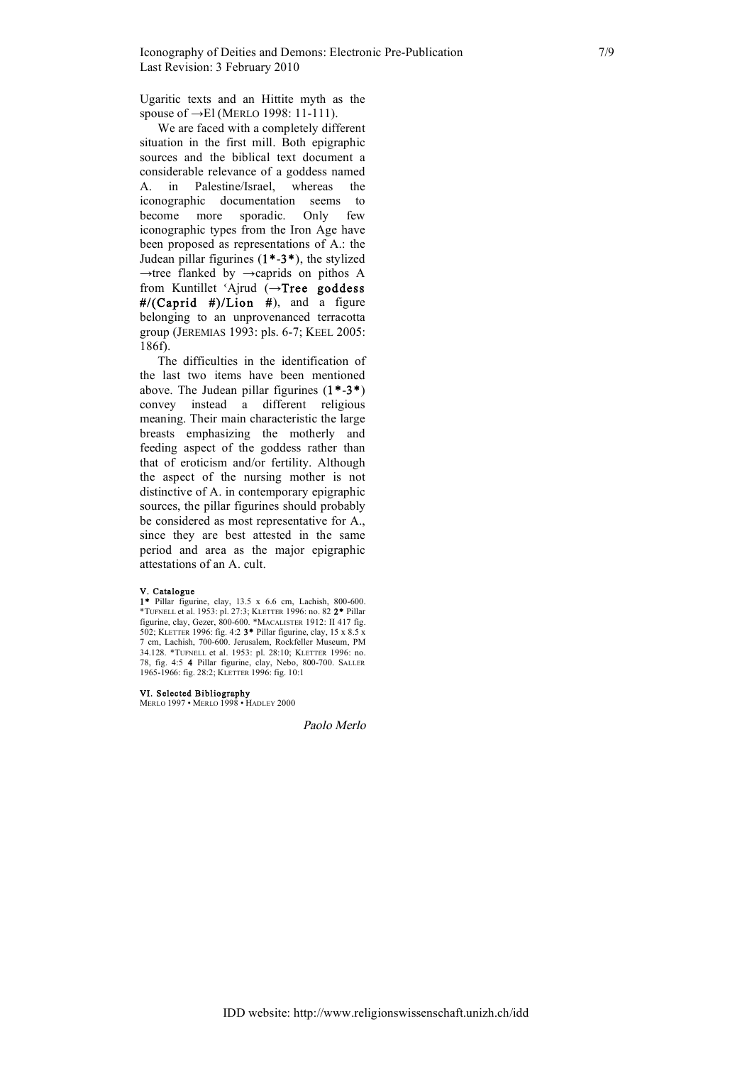Ugaritic texts and an Hittite myth as the spouse of  $\rightarrow$ El (MERLO 1998: 11-111).

We are faced with a completely different situation in the first mill. Both epigraphic sources and the biblical text document a considerable relevance of a goddess named A. in Palestine/Israel, whereas the iconographic documentation seems to become more sporadic. Only few iconographic types from the Iron Age have been proposed as representations of A.: the Judean pillar figurines (1\*-3\*), the stylized  $\rightarrow$ tree flanked by  $\rightarrow$ caprids on pithos A from Kuntillet ˓Ajrud (→Tree goddess  $\#/$ (Caprid #)/Lion #), and a figure belonging to an unprovenanced terracotta group (JEREMIAS 1993: pls. 6-7; KEEL 2005: 186f).

The difficulties in the identification of the last two items have been mentioned above. The Judean pillar figurines  $(1*-3*)$ convey instead a different religious meaning. Their main characteristic the large breasts emphasizing the motherly and feeding aspect of the goddess rather than that of eroticism and/or fertility. Although the aspect of the nursing mother is not distinctive of A. in contemporary epigraphic sources, the pillar figurines should probably be considered as most representative for A., since they are best attested in the same period and area as the major epigraphic attestations of an A. cult.

#### V. Catalogue

1\* Pillar figurine, clay, 13.5 x 6.6 cm, Lachish, 800-600. \*TUFNELL et al. 1953: pl. 27:3; KLETTER 1996: no. 82 2\* Pillar figurine, clay, Gezer, 800-600. \*MACALISTER 1912: II 417 fig. 502; KLETTER 1996: fig. 4:2 3\* Pillar figurine, clay, 15 x 8.5 x 7 cm, Lachish, 700-600. Jerusalem, Rockfeller Museum, PM 34.128. \*TUFNELL et al. 1953: pl. 28:10; KLETTER 1996: no. 78, fig. 4:5 4 Pillar figurine, clay, Nebo, 800-700. SALLER 1965-1966: fig. 28:2; KLETTER 1996: fig. 10:1

#### VI. Selected Bibliography

MERLO 1997 • MERLO 1998 • HADLEY 2000

Paolo Merlo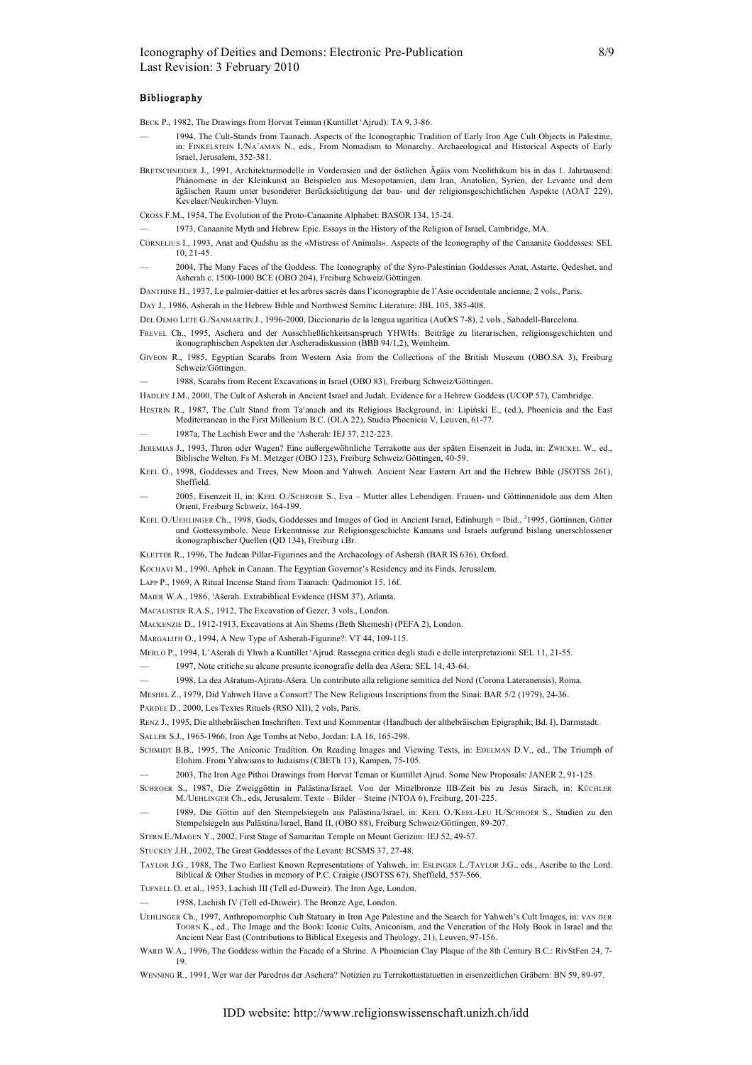#### **Bibliography**

- BECK P., 1982, The Drawings from Horvat Teiman (Kuntillet 'Ajrud): TA 9, 3-86.
- 1994, The Cult-Stands from Taanach. Aspects of the Iconographic Tradition of Early Iron Age Cult Objects in Palestine, in: FINKELSTEIN I./NA'AMAN N., eds., From Nomadism to Monarchy. Archaeological and Historical Aspects of Early Israel, Jerusalem, 352-381.
- BRETSCHNEIDER J., 1991, Architekturmodelle in Vorderasien und der östlichen Ägäis vom Neolithikum bis in das 1. Jahrtausend: Phänomene in der Kleinkunst an Beispielen aus Mesopotamien, dem Iran, Anatolien, Syrien, der Levante und dem ägäischen Raum unter besonderer Berücksichtigung der bau- und der religionsgeschichtlichen Aspekte (AOAT 229), Kevelaer/Neukirchen-Vluyn.
- CROSS F.M., 1954, The Evolution of the Proto-Canaanite Alphabet: BASOR 134, 15-24.
- 1973, Canaanite Myth and Hebrew Epic. Essays in the History of the Religion of Israel, Cambridge, MA.
- CORNELIUS I., 1993, Anat and Qudshu as the «Mistress of Animals». Aspects of the Iconography of the Canaanite Goddesses: SEL 10, 21-45.
- 2004, The Many Faces of the Goddess. The Iconography of the Syro-Palestinian Goddesses Anat, Astarte, Qedeshet, and Asherah c. 1500-1000 BCE (OBO 204), Freiburg Schweiz/Göttingen.
- DANTHINE H., 1937, Le palmier-dattier et les arbres sacrés dans l'iconographie de l'Asie occidentale ancienne, 2 vols., Paris.
- DAY J., 1986, Asherah in the Hebrew Bible and Northwest Semitic Literature: JBL 105, 385-408.
- DEL OLMO LETE G./SANMARTÍN J., 1996-2000, Diccionario de la lengua ugarítica (AuOrS 7-8), 2 vols., Sabadell-Barcelona.
- FREVEL Ch., 1995, Aschera und der Ausschließlichkeitsanspruch YHWHs: Beiträge zu literarischen, religionsgeschichten und ikonographischen Aspekten der Ascheradiskussion (BBB 94/1,2), Weinheim.
- GIVEON R., 1985, Egyptian Scarabs from Western Asia from the Collections of the British Museum (OBO.SA 3), Freiburg Schweiz/Göttingen.
- 1988, Scarabs from Recent Excavations in Israel (OBO 83), Freiburg Schweiz/Göttingen.
- HADLEY J.M., 2000, The Cult of Asherah in Ancient Israel and Judah. Evidence for a Hebrew Goddess (UCOP 57), Cambridge.
- HESTRIN R., 1987, The Cult Stand from Ta'anach and its Religious Background, in: Lipiński E., (ed.), Phoenicia and the East Mediterranean in the First Millenium B.C. (OLA 22), Studia Phoenicia V, Leuven, 61-77.
- 1987a, The Lachish Ewer and the 'Asherah: IEJ 37, 212-223.
- JEREMIAS J., 1993, Thron oder Wagen? Eine außergewöhnliche Terrakotte aus der späten Eisenzeit in Juda, in: ZWICKEL W., ed., Biblische Welten. Fs M. Metzger (OBO 123), Freiburg Schweiz/Göttingen, 40-59.
- KEEL O., 1998, Goddesses and Trees, New Moon and Yahweh. Ancient Near Eastern Art and the Hebrew Bible (JSOTSS 261), Sheffield.
- 2005, Eisenzeit II, in: KEEL O./SCHROER S., Eva Mutter alles Lebendigen. Frauen- und Göttinnenidole aus dem Alten Orient, Freiburg Schweiz, 164-199.
- KEEL O./UEHLINGER Ch., 1998, Gods, Goddesses and Images of God in Ancient Israel, Edinburgh = Ibid., <sup>3</sup>1995, Göttinnen, Götter und Gottessymbole. Neue Erkenntnisse zur Religionsgeschichte Kanaans und Israels aufgrund bislang unerschlossener ikonographischer Quellen (QD 134), Freiburg i.Br.
- KLETTER R., 1996, The Judean Pillar-Figurines and the Archaeology of Asherah (BAR IS 636), Oxford.
- KOCHAVI M., 1990, Aphek in Canaan. The Egyptian Governor's Residency and its Finds, Jerusalem.
- LAPP P., 1969, A Ritual Incense Stand from Taanach: Qadmoniot 15, 16f.
- MAIER W.A., 1986, 'Ašerah. Extrabiblical Evidence (HSM 37), Atlanta.
- MACALISTER R.A.S., 1912, The Excavation of Gezer, 3 vols., London.
- MACKENZIE D., 1912-1913, Excavations at Ain Shems (Beth Shemesh) (PEFA 2), London.
- MARGALITH O., 1994, A New Type of Asherah-Figurine?: VT 44, 109-115.
- MERLO P., 1994, L'Ašerah di Yhwh a Kuntillet 'Ajrud. Rassegna critica degli studi e delle interpretazioni: SEL 11, 21-55.
- 1997, Note critiche su alcune presunte iconografie della dea Ašera: SEL 14, 43-64.
- 1998, La dea Ašratum-Atiratu-Ašera. Un contributo alla religione semitica del Nord (Corona Lateranensis), Roma.
- MESHEL Z., 1979, Did Yahweh Have a Consort? The New Religious Inscriptions from the Sinai: BAR 5/2 (1979), 24-36.
- PARDEE D., 2000, Les Textes Rituels (RSO XII), 2 vols, Paris.
- RENZ J., 1995, Die althebräischen Inschriften. Text und Kommentar (Handbuch der althebräischen Epigraphik; Bd. I), Darmstadt.

SALLER S.J., 1965-1966, Iron Age Tombs at Nebo, Jordan: LA 16, 165-298.

- SCHMIDT B.B., 1995, The Aniconic Tradition. On Reading Images and Viewing Texts, in: EDELMAN D.V., ed., The Triumph of Elohim. From Yahwisms to Judaisms (CBETh 13), Kampen, 75-105.
- 2003, The Iron Age Pithoi Drawings from Horvat Teman or Kuntillet Ajrud. Some New Proposals: JANER 2, 91-125.
- SCHROER S., 1987, Die Zweiggöttin in Palästina/Israel. Von der Mittelbronze IIB-Zeit bis zu Jesus Sirach, in: KÜCHLER M./UEHLINGER Ch., eds, Jerusalem. Texte – Bilder – Steine (NTOA 6), Freiburg, 201-225.
- 1989, Die Göttin auf den Stempelsiegeln aus Palästina/Israel, in: KEEL O./KEEL-LEU H./SCHROER S., Studien zu den Stempelsiegeln aus Palästina/Israel, Band II, (OBO 88), Freiburg Schweiz/Göttingen, 89-207.
- STERN E./MAGEN Y., 2002, First Stage of Samaritan Temple on Mount Gerizim: IEJ 52, 49-57.
- STUCKEY J.H., 2002, The Great Goddesses of the Levant: BCSMS 37, 27-48.
- TAYLOR J.G., 1988, The Two Earliest Known Representations of Yahweh, in: ESLINGER L./TAYLOR J.G., eds., Ascribe to the Lord. Biblical & Other Studies in memory of P.C. Craigie (JSOTSS 67), Sheffield, 557-566.
- TUFNELL O. et al., 1953, Lachish III (Tell ed-Duweir). The Iron Age, London.
- 1958, Lachish IV (Tell ed-Duweir). The Bronze Age, London.
- UEHLINGER Ch., 1997, Anthropomorphic Cult Statuary in Iron Age Palestine and the Search for Yahweh's Cult Images, in: VAN DER TOORN K., ed., The Image and the Book: Iconic Cults, Aniconism, and the Veneration of the Holy Book in Israel and the Ancient Near East (Contributions to Biblical Exegesis and Theology, 21), Leuven, 97-156.
- WARD W.A., 1996, The Goddess within the Facade of a Shrine. A Phoenician Clay Plaque of the 8th Century B.C.: RivStFen 24, 7-19.
- WENNING R., 1991, Wer war der Paredros der Aschera? Notizien zu Terrakottastatuetten in eisenzeitlichen Gräbern: BN 59, 89-97.